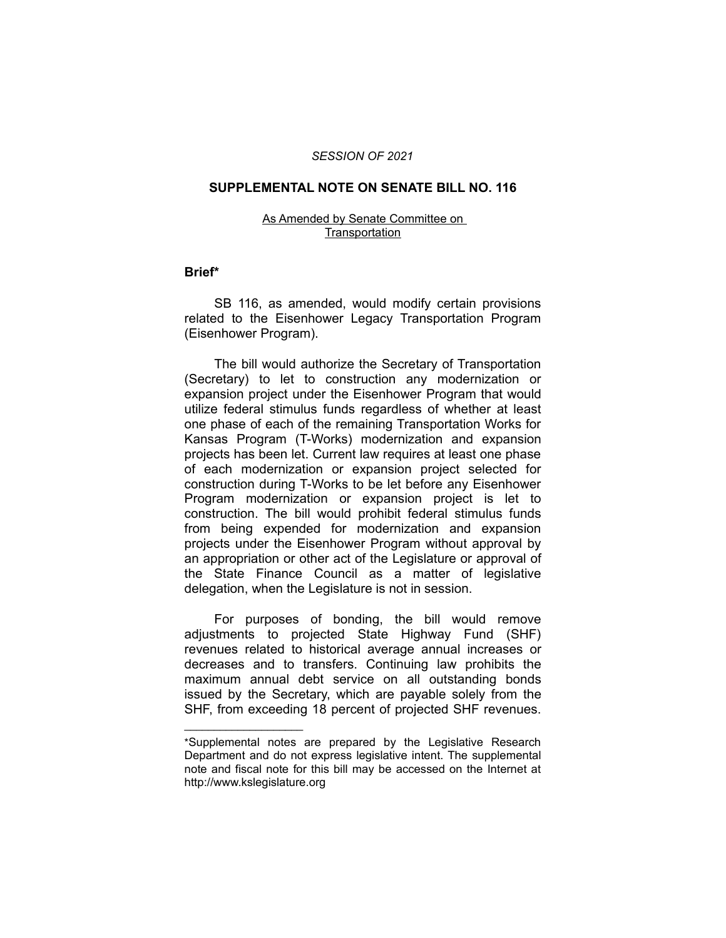### *SESSION OF 2021*

### **SUPPLEMENTAL NOTE ON SENATE BILL NO. 116**

#### As Amended by Senate Committee on **Transportation**

## **Brief\***

SB 116, as amended, would modify certain provisions related to the Eisenhower Legacy Transportation Program (Eisenhower Program).

The bill would authorize the Secretary of Transportation (Secretary) to let to construction any modernization or expansion project under the Eisenhower Program that would utilize federal stimulus funds regardless of whether at least one phase of each of the remaining Transportation Works for Kansas Program (T-Works) modernization and expansion projects has been let. Current law requires at least one phase of each modernization or expansion project selected for construction during T-Works to be let before any Eisenhower Program modernization or expansion project is let to construction. The bill would prohibit federal stimulus funds from being expended for modernization and expansion projects under the Eisenhower Program without approval by an appropriation or other act of the Legislature or approval of the State Finance Council as a matter of legislative delegation, when the Legislature is not in session.

For purposes of bonding, the bill would remove adjustments to projected State Highway Fund (SHF) revenues related to historical average annual increases or decreases and to transfers. Continuing law prohibits the maximum annual debt service on all outstanding bonds issued by the Secretary, which are payable solely from the SHF, from exceeding 18 percent of projected SHF revenues.

 $\overline{\phantom{a}}$  , where  $\overline{\phantom{a}}$  , where  $\overline{\phantom{a}}$ 

<sup>\*</sup>Supplemental notes are prepared by the Legislative Research Department and do not express legislative intent. The supplemental note and fiscal note for this bill may be accessed on the Internet at http://www.kslegislature.org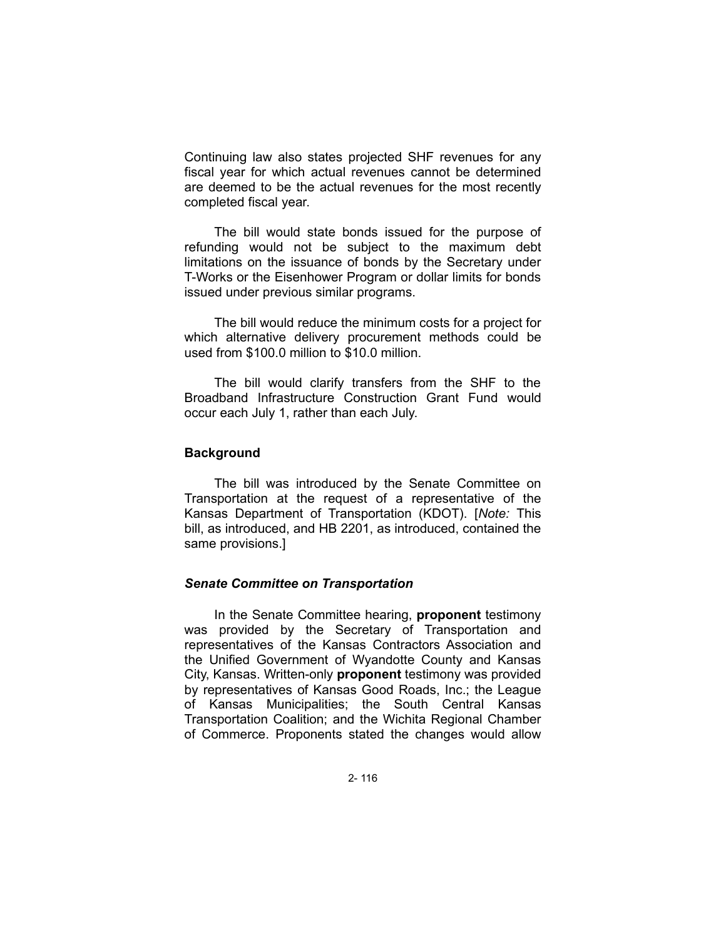Continuing law also states projected SHF revenues for any fiscal year for which actual revenues cannot be determined are deemed to be the actual revenues for the most recently completed fiscal year.

The bill would state bonds issued for the purpose of refunding would not be subject to the maximum debt limitations on the issuance of bonds by the Secretary under T-Works or the Eisenhower Program or dollar limits for bonds issued under previous similar programs.

The bill would reduce the minimum costs for a project for which alternative delivery procurement methods could be used from \$100.0 million to \$10.0 million.

The bill would clarify transfers from the SHF to the Broadband Infrastructure Construction Grant Fund would occur each July 1, rather than each July.

# **Background**

The bill was introduced by the Senate Committee on Transportation at the request of a representative of the Kansas Department of Transportation (KDOT). [*Note:* This bill, as introduced, and HB 2201, as introduced, contained the same provisions.]

# *Senate Committee on Transportation*

In the Senate Committee hearing, **proponent** testimony was provided by the Secretary of Transportation and representatives of the Kansas Contractors Association and the Unified Government of Wyandotte County and Kansas City, Kansas. Written-only **proponent** testimony was provided by representatives of Kansas Good Roads, Inc.; the League of Kansas Municipalities; the South Central Kansas Transportation Coalition; and the Wichita Regional Chamber of Commerce. Proponents stated the changes would allow